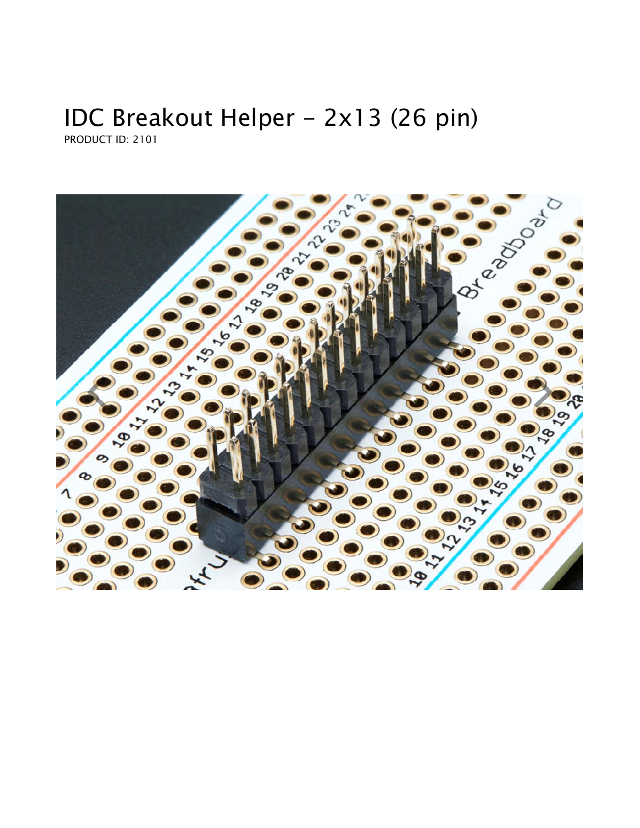## IDC Breakout Helper - 2x13 (26 pin) PRODUCT ID: 2101

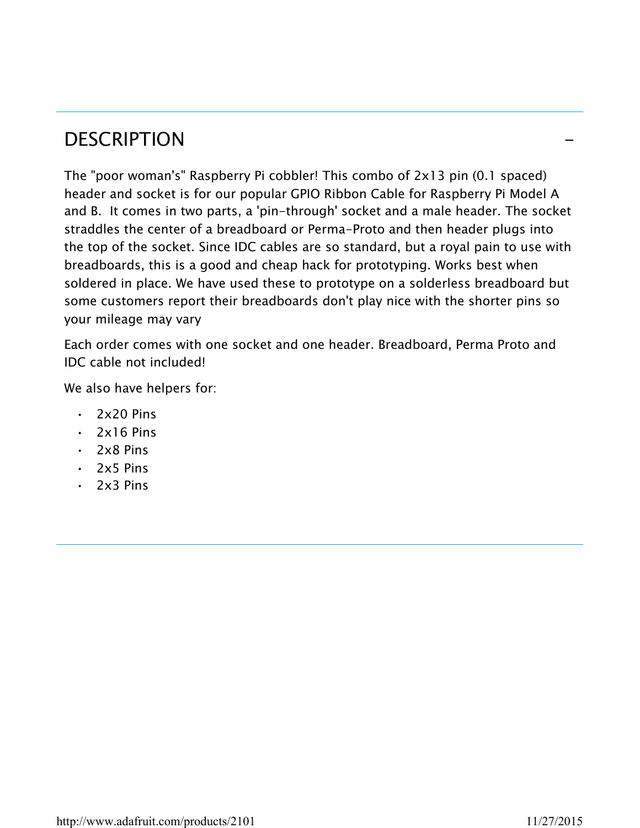## **DESCRIPTION**

The "poor woman's" Raspberry Pi cobbler! This combo of 2x13 pin (0.1 spaced) header and socket is for our popular GPIO Ribbon Cable for Raspberry Pi Model A and B. It comes in two parts, a 'pin-through' socket and a male header. The socket straddles the center of a breadboard or Perma-Proto and then header plugs into the top of the socket. Since IDC cables are so standard, but a royal pain to use with breadboards, this is a good and cheap hack for prototyping. Works best when soldered in place. We have used these to prototype on a solderless breadboard but some customers report their breadboards don't play nice with the shorter pins so your mileage may vary

Each order comes with one socket and one header. Breadboard, Perma Proto and IDC cable not included!

We also have helpers for:

- $\cdot$  2x20 Pins
- $\cdot$  2x16 Pins
- 2x8 Pins
- 2x5 Pins
- $\cdot$  2x3 Pins